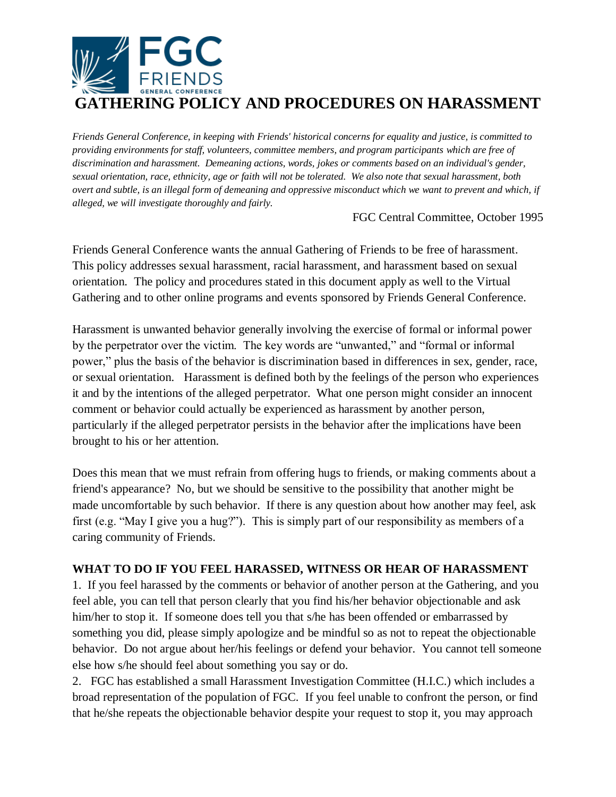

*Friends General Conference, in keeping with Friends' historical concerns for equality and justice, is committed to providing environments for staff, volunteers, committee members, and program participants which are free of discrimination and harassment. Demeaning actions, words, jokes or comments based on an individual's gender, sexual orientation, race, ethnicity, age or faith will not be tolerated. We also note that sexual harassment, both overt and subtle, is an illegal form of demeaning and oppressive misconduct which we want to prevent and which, if alleged, we will investigate thoroughly and fairly.*

FGC Central Committee, October 1995

Friends General Conference wants the annual Gathering of Friends to be free of harassment. This policy addresses sexual harassment, racial harassment, and harassment based on sexual orientation. The policy and procedures stated in this document apply as well to the Virtual Gathering and to other online programs and events sponsored by Friends General Conference.

Harassment is unwanted behavior generally involving the exercise of formal or informal power by the perpetrator over the victim. The key words are "unwanted," and "formal or informal power," plus the basis of the behavior is discrimination based in differences in sex, gender, race, or sexual orientation. Harassment is defined both by the feelings of the person who experiences it and by the intentions of the alleged perpetrator. What one person might consider an innocent comment or behavior could actually be experienced as harassment by another person, particularly if the alleged perpetrator persists in the behavior after the implications have been brought to his or her attention.

Does this mean that we must refrain from offering hugs to friends, or making comments about a friend's appearance? No, but we should be sensitive to the possibility that another might be made uncomfortable by such behavior. If there is any question about how another may feel, ask first (e.g. "May I give you a hug?"). This is simply part of our responsibility as members of a caring community of Friends.

## **WHAT TO DO IF YOU FEEL HARASSED, WITNESS OR HEAR OF HARASSMENT**

1. If you feel harassed by the comments or behavior of another person at the Gathering, and you feel able, you can tell that person clearly that you find his/her behavior objectionable and ask him/her to stop it. If someone does tell you that s/he has been offended or embarrassed by something you did, please simply apologize and be mindful so as not to repeat the objectionable behavior. Do not argue about her/his feelings or defend your behavior. You cannot tell someone else how s/he should feel about something you say or do.

2. FGC has established a small Harassment Investigation Committee (H.I.C.) which includes a broad representation of the population of FGC. If you feel unable to confront the person, or find that he/she repeats the objectionable behavior despite your request to stop it, you may approach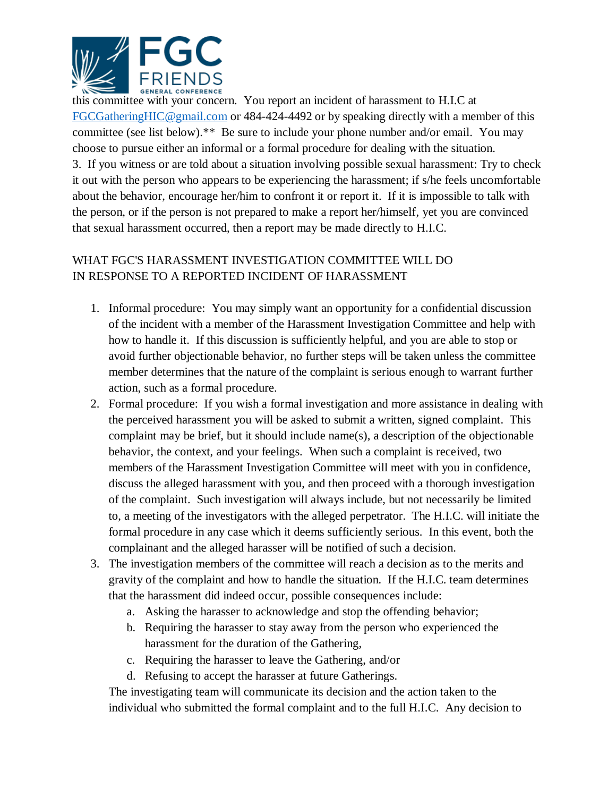

this committee with your concern. You report an incident of harassment to H.I.C at [FGCGatheringHIC@gmail.com](mailto:FGCGatheringHIC@gmail.com) or 484-424-4492 or by speaking directly with a member of this committee (see list below).\*\* Be sure to include your phone number and/or email. You may choose to pursue either an informal or a formal procedure for dealing with the situation. 3. If you witness or are told about a situation involving possible sexual harassment: Try to check it out with the person who appears to be experiencing the harassment; if s/he feels uncomfortable about the behavior, encourage her/him to confront it or report it. If it is impossible to talk with the person, or if the person is not prepared to make a report her/himself, yet you are convinced that sexual harassment occurred, then a report may be made directly to H.I.C.

## WHAT FGC'S HARASSMENT INVESTIGATION COMMITTEE WILL DO IN RESPONSE TO A REPORTED INCIDENT OF HARASSMENT

- 1. Informal procedure: You may simply want an opportunity for a confidential discussion of the incident with a member of the Harassment Investigation Committee and help with how to handle it. If this discussion is sufficiently helpful, and you are able to stop or avoid further objectionable behavior, no further steps will be taken unless the committee member determines that the nature of the complaint is serious enough to warrant further action, such as a formal procedure.
- 2. Formal procedure: If you wish a formal investigation and more assistance in dealing with the perceived harassment you will be asked to submit a written, signed complaint. This complaint may be brief, but it should include name(s), a description of the objectionable behavior, the context, and your feelings. When such a complaint is received, two members of the Harassment Investigation Committee will meet with you in confidence, discuss the alleged harassment with you, and then proceed with a thorough investigation of the complaint. Such investigation will always include, but not necessarily be limited to, a meeting of the investigators with the alleged perpetrator. The H.I.C. will initiate the formal procedure in any case which it deems sufficiently serious. In this event, both the complainant and the alleged harasser will be notified of such a decision.
- 3. The investigation members of the committee will reach a decision as to the merits and gravity of the complaint and how to handle the situation. If the H.I.C. team determines that the harassment did indeed occur, possible consequences include:
	- a. Asking the harasser to acknowledge and stop the offending behavior;
	- b. Requiring the harasser to stay away from the person who experienced the harassment for the duration of the Gathering,
	- c. Requiring the harasser to leave the Gathering, and/or
	- d. Refusing to accept the harasser at future Gatherings.

The investigating team will communicate its decision and the action taken to the individual who submitted the formal complaint and to the full H.I.C. Any decision to